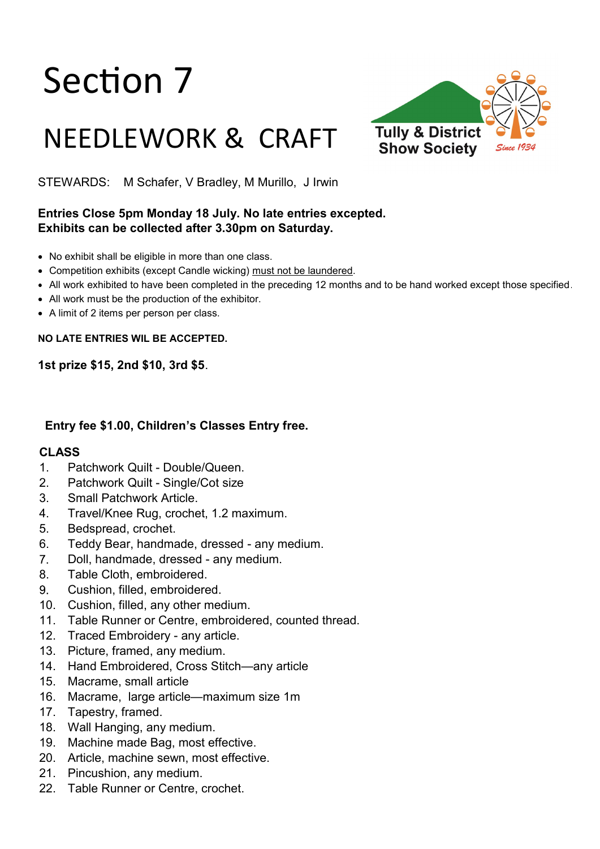# Section 7

# NEEDLEWORK & CRAFT



STEWARDS: M Schafer, V Bradley, M Murillo, J Irwin

### **Entries Close 5pm Monday 18 July. No late entries excepted. Exhibits can be collected after 3.30pm on Saturday.**

- No exhibit shall be eligible in more than one class.
- Competition exhibits (except Candle wicking) must not be laundered.
- All work exhibited to have been completed in the preceding 12 months and to be hand worked except those specified.
- All work must be the production of the exhibitor.
- A limit of 2 items per person per class.

**NO LATE ENTRIES WIL BE ACCEPTED.** 

**1st prize \$15, 2nd \$10, 3rd \$5**.

#### **Entry fee \$1.00, Children's Classes Entry free.**

#### **CLASS**

- 1. Patchwork Quilt Double/Queen.
- 2. Patchwork Quilt Single/Cot size
- 3. Small Patchwork Article.
- 4. Travel/Knee Rug, crochet, 1.2 maximum.
- 5. Bedspread, crochet.
- 6. Teddy Bear, handmade, dressed any medium.
- $7<sup>1</sup>$ Doll, handmade, dressed - any medium.
- 8. Table Cloth, embroidered.
- $9<sub>1</sub>$ Cushion, filled, embroidered.
- 10. Cushion, filled, any other medium.
- 11. Table Runner or Centre, embroidered, counted thread.
- 12. Traced Embroidery any article.
- 13. Picture, framed, any medium.
- 14. Hand Embroidered, Cross Stitch—any article
- 15. Macrame, small article
- 16. Macrame, large article—maximum size 1m
- 17. Tapestry, framed.
- 18. Wall Hanging, any medium.
- 19. Machine made Bag, most effective.
- 20. Article, machine sewn, most effective.
- 21. Pincushion, any medium.
- 22. Table Runner or Centre, crochet.